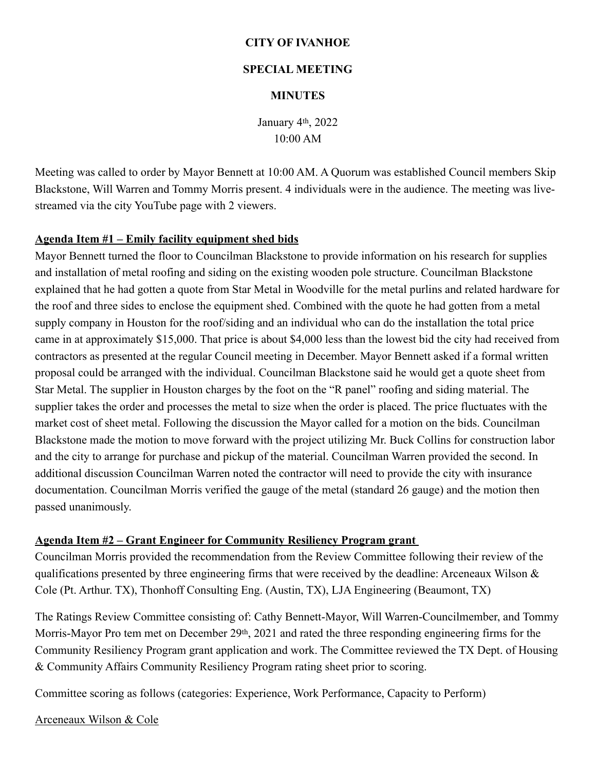### **CITY OF IVANHOE**

#### **SPECIAL MEETING**

### **MINUTES**

January 4th, 2022 10:00 AM

Meeting was called to order by Mayor Bennett at 10:00 AM. A Quorum was established Council members Skip Blackstone, Will Warren and Tommy Morris present. 4 individuals were in the audience. The meeting was livestreamed via the city YouTube page with 2 viewers.

## **Agenda Item #1 – Emily facility equipment shed bids**

Mayor Bennett turned the floor to Councilman Blackstone to provide information on his research for supplies and installation of metal roofing and siding on the existing wooden pole structure. Councilman Blackstone explained that he had gotten a quote from Star Metal in Woodville for the metal purlins and related hardware for the roof and three sides to enclose the equipment shed. Combined with the quote he had gotten from a metal supply company in Houston for the roof/siding and an individual who can do the installation the total price came in at approximately \$15,000. That price is about \$4,000 less than the lowest bid the city had received from contractors as presented at the regular Council meeting in December. Mayor Bennett asked if a formal written proposal could be arranged with the individual. Councilman Blackstone said he would get a quote sheet from Star Metal. The supplier in Houston charges by the foot on the "R panel" roofing and siding material. The supplier takes the order and processes the metal to size when the order is placed. The price fluctuates with the market cost of sheet metal. Following the discussion the Mayor called for a motion on the bids. Councilman Blackstone made the motion to move forward with the project utilizing Mr. Buck Collins for construction labor and the city to arrange for purchase and pickup of the material. Councilman Warren provided the second. In additional discussion Councilman Warren noted the contractor will need to provide the city with insurance documentation. Councilman Morris verified the gauge of the metal (standard 26 gauge) and the motion then passed unanimously.

## **Agenda Item #2 – Grant Engineer for Community Resiliency Program grant**

Councilman Morris provided the recommendation from the Review Committee following their review of the qualifications presented by three engineering firms that were received by the deadline: Arceneaux Wilson & Cole (Pt. Arthur. TX), Thonhoff Consulting Eng. (Austin, TX), LJA Engineering (Beaumont, TX)

The Ratings Review Committee consisting of: Cathy Bennett-Mayor, Will Warren-Councilmember, and Tommy Morris-Mayor Pro tem met on December 29<sup>th</sup>, 2021 and rated the three responding engineering firms for the Community Resiliency Program grant application and work. The Committee reviewed the TX Dept. of Housing & Community Affairs Community Resiliency Program rating sheet prior to scoring.

Committee scoring as follows (categories: Experience, Work Performance, Capacity to Perform)

Arceneaux Wilson & Cole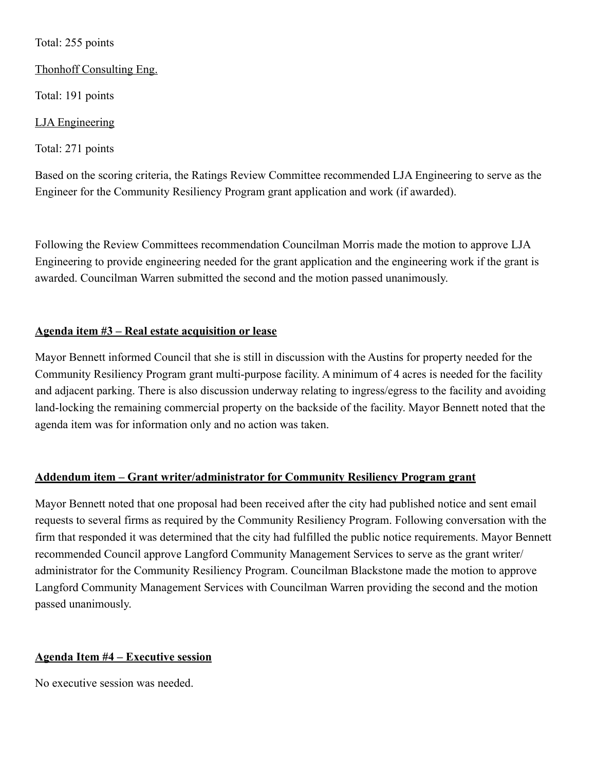## Total: 255 points

## Thonhoff Consulting Eng.

Total: 191 points

# LJA Engineering

Total: 271 points

Based on the scoring criteria, the Ratings Review Committee recommended LJA Engineering to serve as the Engineer for the Community Resiliency Program grant application and work (if awarded).

Following the Review Committees recommendation Councilman Morris made the motion to approve LJA Engineering to provide engineering needed for the grant application and the engineering work if the grant is awarded. Councilman Warren submitted the second and the motion passed unanimously.

# **Agenda item #3 – Real estate acquisition or lease**

Mayor Bennett informed Council that she is still in discussion with the Austins for property needed for the Community Resiliency Program grant multi-purpose facility. A minimum of 4 acres is needed for the facility and adjacent parking. There is also discussion underway relating to ingress/egress to the facility and avoiding land-locking the remaining commercial property on the backside of the facility. Mayor Bennett noted that the agenda item was for information only and no action was taken.

# **Addendum item – Grant writer/administrator for Community Resiliency Program grant**

Mayor Bennett noted that one proposal had been received after the city had published notice and sent email requests to several firms as required by the Community Resiliency Program. Following conversation with the firm that responded it was determined that the city had fulfilled the public notice requirements. Mayor Bennett recommended Council approve Langford Community Management Services to serve as the grant writer/ administrator for the Community Resiliency Program. Councilman Blackstone made the motion to approve Langford Community Management Services with Councilman Warren providing the second and the motion passed unanimously.

# **Agenda Item #4 – Executive session**

No executive session was needed.